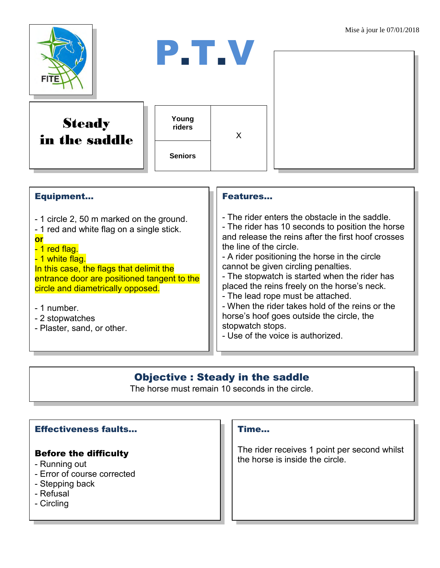

| <b>Equipment</b>                                                                                                                                                                                                                                                                                                                | <b>Features</b>                                                                                                                                                                                                                                                                                                                                                                                                                                                                                                                                                            |
|---------------------------------------------------------------------------------------------------------------------------------------------------------------------------------------------------------------------------------------------------------------------------------------------------------------------------------|----------------------------------------------------------------------------------------------------------------------------------------------------------------------------------------------------------------------------------------------------------------------------------------------------------------------------------------------------------------------------------------------------------------------------------------------------------------------------------------------------------------------------------------------------------------------------|
| - 1 circle 2, 50 m marked on the ground.<br>- 1 red and white flag on a single stick.<br>or<br>- 1 red flag.<br>- 1 white flag.<br>In this case, the flags that delimit the<br>entrance door are positioned tangent to the<br>circle and diametrically opposed.<br>- 1 number.<br>- 2 stopwatches<br>- Plaster, sand, or other. | - The rider enters the obstacle in the saddle.<br>- The rider has 10 seconds to position the horse<br>and release the reins after the first hoof crosses<br>the line of the circle.<br>- A rider positioning the horse in the circle<br>cannot be given circling penalties.<br>- The stopwatch is started when the rider has<br>placed the reins freely on the horse's neck.<br>- The lead rope must be attached.<br>- When the rider takes hold of the reins or the<br>horse's hoof goes outside the circle, the<br>stopwatch stops.<br>- Use of the voice is authorized. |

## Objective : Steady in the saddle

The horse must remain 10 seconds in the circle.

### Effectiveness faults…

#### Before the difficulty

- Running out
- Error of course corrected
- Stepping back
- Refusal
- Circling

### Time...

The rider receives 1 point per second whilst the horse is inside the circle.